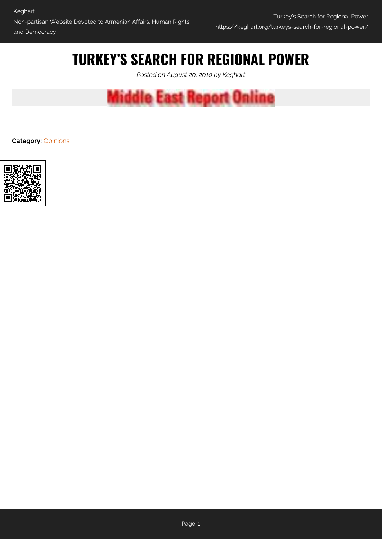# **TURKEY'S SEARCH FOR REGIONAL POWER**

*Posted on August 20, 2010 by Keghart*



**Category:** [Opinions](https://keghart.org/category/opinions/)

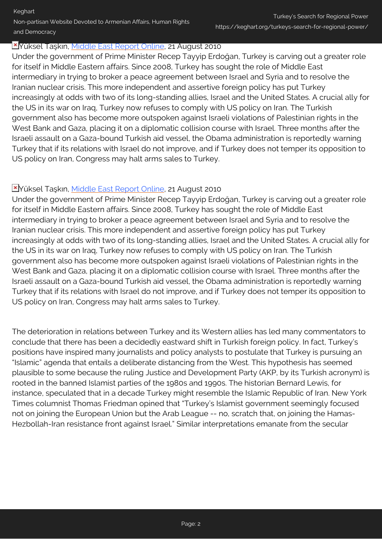# Keghart Non-partisan Website Devoted to Armenian Affairs, Human Rights and Democracy

### Yüksel Taşkın, [Middle East Report Online](http://www.merip.org/mero/mero082110.html), 21 August 2010

Under the government of Prime Minister Recep Tayyip Erdoğan, Turkey is carving out a greater role for itself in Middle Eastern affairs. Since 2008, Turkey has sought the role of Middle East intermediary in trying to broker a peace agreement between Israel and Syria and to resolve the Iranian nuclear crisis. This more independent and assertive foreign policy has put Turkey increasingly at odds with two of its long-standing allies, Israel and the United States. A crucial ally for the US in its war on Iraq, Turkey now refuses to comply with US policy on Iran. The Turkish government also has become more outspoken against Israeli violations of Palestinian rights in the West Bank and Gaza, placing it on a diplomatic collision course with Israel. Three months after the Israeli assault on a Gaza-bound Turkish aid vessel, the Obama administration is reportedly warning Turkey that if its relations with Israel do not improve, and if Turkey does not temper its opposition to US policy on Iran, Congress may halt arms sales to Turkey.

# Yüksel Taşkın, [Middle East Report Online](http://www.merip.org/mero/mero082110.html), 21 August 2010

Under the government of Prime Minister Recep Tayyip Erdoğan, Turkey is carving out a greater role for itself in Middle Eastern affairs. Since 2008, Turkey has sought the role of Middle East intermediary in trying to broker a peace agreement between Israel and Syria and to resolve the Iranian nuclear crisis. This more independent and assertive foreign policy has put Turkey increasingly at odds with two of its long-standing allies, Israel and the United States. A crucial ally for the US in its war on Iraq, Turkey now refuses to comply with US policy on Iran. The Turkish government also has become more outspoken against Israeli violations of Palestinian rights in the West Bank and Gaza, placing it on a diplomatic collision course with Israel. Three months after the Israeli assault on a Gaza-bound Turkish aid vessel, the Obama administration is reportedly warning Turkey that if its relations with Israel do not improve, and if Turkey does not temper its opposition to US policy on Iran, Congress may halt arms sales to Turkey.

The deterioration in relations between Turkey and its Western allies has led many commentators to conclude that there has been a decidedly eastward shift in Turkish foreign policy. In fact, Turkey's positions have inspired many journalists and policy analysts to postulate that Turkey is pursuing an "Islamic" agenda that entails a deliberate distancing from the West. This hypothesis has seemed plausible to some because the ruling Justice and Development Party (AKP, by its Turkish acronym) is rooted in the banned Islamist parties of the 1980s and 1990s. The historian Bernard Lewis, for instance, speculated that in a decade Turkey might resemble the Islamic Republic of Iran. New York Times columnist Thomas Friedman opined that "Turkey's Islamist government seemingly focused not on joining the European Union but the Arab League -- no, scratch that, on joining the Hamas-Hezbollah-Iran resistance front against Israel." Similar interpretations emanate from the secular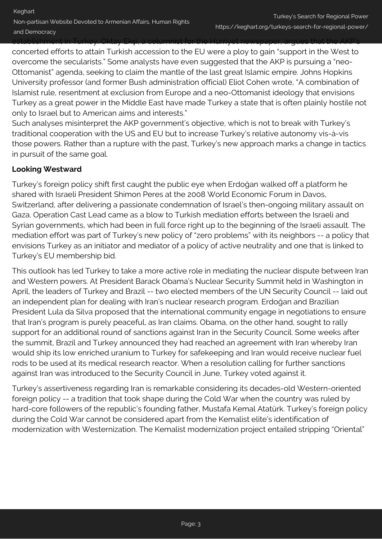establishment in Turkey. Oktay Ekşi, a columnist for the Hurriyet newspaper, argues that the AKP's concerted efforts to attain Turkish accession to the EU were a ploy to gain "support in the West to overcome the secularists." Some analysts have even suggested that the AKP is pursuing a "neo-Ottomanist" agenda, seeking to claim the mantle of the last great Islamic empire. Johns Hopkins University professor (and former Bush administration official) Eliot Cohen wrote, "A combination of Islamist rule, resentment at exclusion from Europe and a neo-Ottomanist ideology that envisions Turkey as a great power in the Middle East have made Turkey a state that is often plainly hostile not only to Israel but to American aims and interests."

Such analyses misinterpret the AKP government's objective, which is not to break with Turkey's traditional cooperation with the US and EU but to increase Turkey's relative autonomy vis-à-vis those powers. Rather than a rupture with the past, Turkey's new approach marks a change in tactics in pursuit of the same goal.

### **Looking Westward**

Turkey's foreign policy shift first caught the public eye when Erdoğan walked off a platform he shared with Israeli President Shimon Peres at the 2008 World Economic Forum in Davos, Switzerland, after delivering a passionate condemnation of Israel's then-ongoing military assault on Gaza. Operation Cast Lead came as a blow to Turkish mediation efforts between the Israeli and Syrian governments, which had been in full force right up to the beginning of the Israeli assault. The mediation effort was part of Turkey's new policy of "zero problems" with its neighbors -- a policy that envisions Turkey as an initiator and mediator of a policy of active neutrality and one that is linked to Turkey's EU membership bid.

This outlook has led Turkey to take a more active role in mediating the nuclear dispute between Iran and Western powers. At President Barack Obama's Nuclear Security Summit held in Washington in April, the leaders of Turkey and Brazil -- two elected members of the UN Security Council -- laid out an independent plan for dealing with Iran's nuclear research program. Erdoğan and Brazilian President Lula da Silva proposed that the international community engage in negotiations to ensure that Iran's program is purely peaceful, as Iran claims. Obama, on the other hand, sought to rally support for an additional round of sanctions against Iran in the Security Council. Some weeks after the summit, Brazil and Turkey announced they had reached an agreement with Iran whereby Iran would ship its low enriched uranium to Turkey for safekeeping and Iran would receive nuclear fuel rods to be used at its medical research reactor. When a resolution calling for further sanctions against Iran was introduced to the Security Council in June, Turkey voted against it.

Turkey's assertiveness regarding Iran is remarkable considering its decades-old Western-oriented foreign policy -- a tradition that took shape during the Cold War when the country was ruled by hard-core followers of the republic's founding father, Mustafa Kemal Atatürk. Turkey's foreign policy during the Cold War cannot be considered apart from the Kemalist elite's identification of modernization with Westernization. The Kemalist modernization project entailed stripping "Oriental"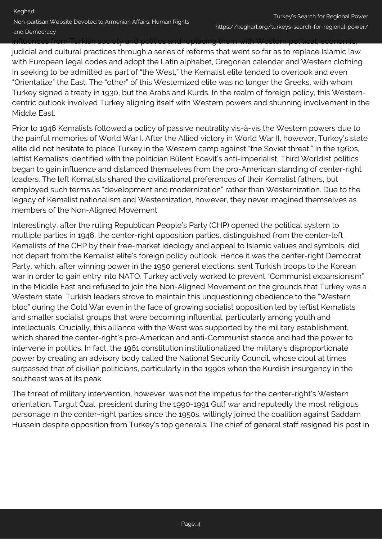influences from Turkish society and politics and replacing them with Western political, economic,

judicial and cultural practices through a series of reforms that went so far as to replace Islamic law with European legal codes and adopt the Latin alphabet, Gregorian calendar and Western clothing. In seeking to be admitted as part of "the West," the Kemalist elite tended to overlook and even "Orientalize" the East. The "other" of this Westernized elite was no longer the Greeks, with whom Turkey signed a treaty in 1930, but the Arabs and Kurds. In the realm of foreign policy, this Westerncentric outlook involved Turkey aligning itself with Western powers and shunning involvement in the Middle East.

Prior to 1946 Kemalists followed a policy of passive neutrality vis-à-vis the Western powers due to the painful memories of World War I. After the Allied victory in World War II, however, Turkey's state elite did not hesitate to place Turkey in the Western camp against "the Soviet threat." In the 1960s, leftist Kemalists identified with the politician Bülent Ecevit's anti-imperialist, Third Worldist politics began to gain influence and distanced themselves from the pro-American standing of center-right leaders. The left Kemalists shared the civilizational preferences of their Kemalist fathers, but employed such terms as "development and modernization" rather than Westernization. Due to the legacy of Kemalist nationalism and Westernization, however, they never imagined themselves as members of the Non-Aligned Movement.

Interestingly, after the ruling Republican People's Party (CHP) opened the political system to multiple parties in 1946, the center-right opposition parties, distinguished from the center-left Kemalists of the CHP by their free-market ideology and appeal to Islamic values and symbols, did not depart from the Kemalist elite's foreign policy outlook. Hence it was the center-right Democrat Party, which, after winning power in the 1950 general elections, sent Turkish troops to the Korean war in order to gain entry into NATO. Turkey actively worked to prevent "Communist expansionism" in the Middle East and refused to join the Non-Aligned Movement on the grounds that Turkey was a Western state. Turkish leaders strove to maintain this unquestioning obedience to the "Western bloc" during the Cold War even in the face of growing socialist opposition led by leftist Kemalists and smaller socialist groups that were becoming influential, particularly among youth and intellectuals. Crucially, this alliance with the West was supported by the military establishment, which shared the center-right's pro-American and anti-Communist stance and had the power to intervene in politics. In fact, the 1961 constitution institutionalized the military's disproportionate power by creating an advisory body called the National Security Council, whose clout at times surpassed that of civilian politicians, particularly in the 1990s when the Kurdish insurgency in the southeast was at its peak.

The threat of military intervention, however, was not the impetus for the center-right's Western orientation. Turgut Özal, president during the 1990-1991 Gulf war and reputedly the most religious personage in the center-right parties since the 1950s, willingly joined the coalition against Saddam Hussein despite opposition from Turkey's top generals. The chief of general staff resigned his post in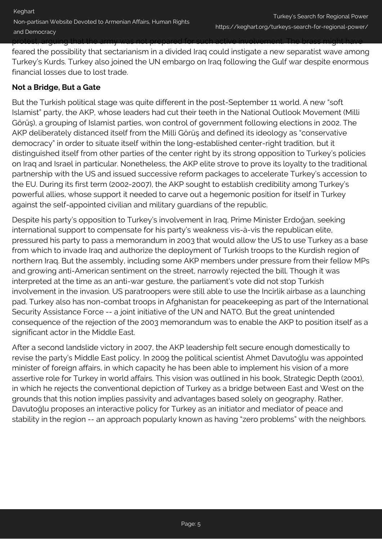feared the possibility that sectarianism in a divided Iraq could instigate a new separatist wave among Turkey's Kurds. Turkey also joined the UN embargo on Iraq following the Gulf war despite enormous financial losses due to lost trade.

### **Not a Bridge, But a Gate**

But the Turkish political stage was quite different in the post-September 11 world. A new "soft Islamist" party, the AKP, whose leaders had cut their teeth in the National Outlook Movement (Milli Görüş), a grouping of Islamist parties, won control of government following elections in 2002. The AKP deliberately distanced itself from the Milli Görüş and defined its ideology as "conservative democracy" in order to situate itself within the long-established center-right tradition, but it distinguished itself from other parties of the center right by its strong opposition to Turkey's policies on Iraq and Israel in particular. Nonetheless, the AKP elite strove to prove its loyalty to the traditional partnership with the US and issued successive reform packages to accelerate Turkey's accession to the EU. During its first term (2002-2007), the AKP sought to establish credibility among Turkey's powerful allies, whose support it needed to carve out a hegemonic position for itself in Turkey against the self-appointed civilian and military guardians of the republic.

Despite his party's opposition to Turkey's involvement in Iraq, Prime Minister Erdoğan, seeking international support to compensate for his party's weakness vis-à-vis the republican elite, pressured his party to pass a memorandum in 2003 that would allow the US to use Turkey as a base from which to invade Iraq and authorize the deployment of Turkish troops to the Kurdish region of northern Iraq. But the assembly, including some AKP members under pressure from their fellow MPs and growing anti-American sentiment on the street, narrowly rejected the bill. Though it was interpreted at the time as an anti-war gesture, the parliament's vote did not stop Turkish involvement in the invasion. US paratroopers were still able to use the Incirlik airbase as a launching pad. Turkey also has non-combat troops in Afghanistan for peacekeeping as part of the International Security Assistance Force -- a joint initiative of the UN and NATO. But the great unintended consequence of the rejection of the 2003 memorandum was to enable the AKP to position itself as a significant actor in the Middle East.

After a second landslide victory in 2007, the AKP leadership felt secure enough domestically to revise the party's Middle East policy. In 2009 the political scientist Ahmet Davutoğlu was appointed minister of foreign affairs, in which capacity he has been able to implement his vision of a more assertive role for Turkey in world affairs. This vision was outlined in his book, Strategic Depth (2001), in which he rejects the conventional depiction of Turkey as a bridge between East and West on the grounds that this notion implies passivity and advantages based solely on geography. Rather, Davutoğlu proposes an interactive policy for Turkey as an initiator and mediator of peace and stability in the region -- an approach popularly known as having "zero problems" with the neighbors.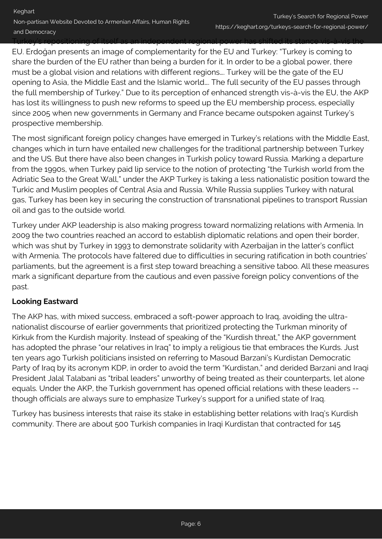Turkey's repositioning of itself as an independent regional power has shifted its stance vis-à-vis the

EU. Erdoğan presents an image of complementarity for the EU and Turkey: "Turkey is coming to share the burden of the EU rather than being a burden for it. In order to be a global power, there must be a global vision and relations with different regions…. Turkey will be the gate of the EU opening to Asia, the Middle East and the Islamic world…. The full security of the EU passes through the full membership of Turkey." Due to its perception of enhanced strength vis-à-vis the EU, the AKP has lost its willingness to push new reforms to speed up the EU membership process, especially since 2005 when new governments in Germany and France became outspoken against Turkey's prospective membership.

The most significant foreign policy changes have emerged in Turkey's relations with the Middle East, changes which in turn have entailed new challenges for the traditional partnership between Turkey and the US. But there have also been changes in Turkish policy toward Russia. Marking a departure from the 1990s, when Turkey paid lip service to the notion of protecting "the Turkish world from the Adriatic Sea to the Great Wall," under the AKP Turkey is taking a less nationalistic position toward the Turkic and Muslim peoples of Central Asia and Russia. While Russia supplies Turkey with natural gas, Turkey has been key in securing the construction of transnational pipelines to transport Russian oil and gas to the outside world.

Turkey under AKP leadership is also making progress toward normalizing relations with Armenia. In 2009 the two countries reached an accord to establish diplomatic relations and open their border, which was shut by Turkey in 1993 to demonstrate solidarity with Azerbaijan in the latter's conflict with Armenia. The protocols have faltered due to difficulties in securing ratification in both countries' parliaments, but the agreement is a first step toward breaching a sensitive taboo. All these measures mark a significant departure from the cautious and even passive foreign policy conventions of the past.

# **Looking Eastward**

The AKP has, with mixed success, embraced a soft-power approach to Iraq, avoiding the ultranationalist discourse of earlier governments that prioritized protecting the Turkman minority of Kirkuk from the Kurdish majority. Instead of speaking of the "Kurdish threat," the AKP government has adopted the phrase "our relatives in Iraq" to imply a religious tie that embraces the Kurds. Just ten years ago Turkish politicians insisted on referring to Masoud Barzani's Kurdistan Democratic Party of Iraq by its acronym KDP, in order to avoid the term "Kurdistan," and derided Barzani and Iraqi President Jalal Talabani as "tribal leaders" unworthy of being treated as their counterparts, let alone equals. Under the AKP, the Turkish government has opened official relations with these leaders - though officials are always sure to emphasize Turkey's support for a unified state of Iraq.

Turkey has business interests that raise its stake in establishing better relations with Iraq's Kurdish community. There are about 500 Turkish companies in Iraqi Kurdistan that contracted for 145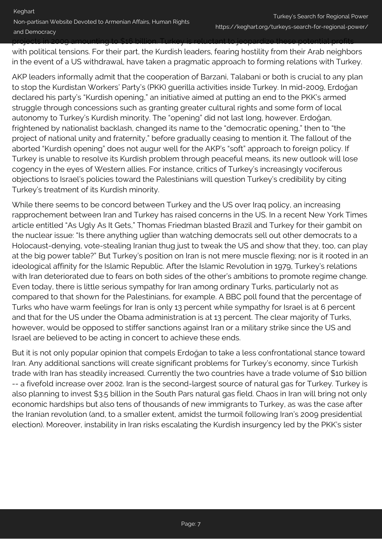projects in 2009 amounting to \$16 billion. Turkey is reluctant to jeopardize these potential profits with political tensions. For their part, the Kurdish leaders, fearing hostility from their Arab neighbors in the event of a US withdrawal, have taken a pragmatic approach to forming relations with Turkey.

AKP leaders informally admit that the cooperation of Barzani, Talabani or both is crucial to any plan to stop the Kurdistan Workers' Party's (PKK) guerilla activities inside Turkey. In mid-2009, Erdoğan declared his party's "Kurdish opening," an initiative aimed at putting an end to the PKK's armed struggle through concessions such as granting greater cultural rights and some form of local autonomy to Turkey's Kurdish minority. The "opening" did not last long, however. Erdoğan, frightened by nationalist backlash, changed its name to the "democratic opening," then to "the project of national unity and fraternity," before gradually ceasing to mention it. The fallout of the aborted "Kurdish opening" does not augur well for the AKP's "soft" approach to foreign policy. If Turkey is unable to resolve its Kurdish problem through peaceful means, its new outlook will lose cogency in the eyes of Western allies. For instance, critics of Turkey's increasingly vociferous objections to Israel's policies toward the Palestinians will question Turkey's credibility by citing Turkey's treatment of its Kurdish minority.

While there seems to be concord between Turkey and the US over Iraq policy, an increasing rapprochement between Iran and Turkey has raised concerns in the US. In a recent New York Times article entitled "As Ugly As It Gets," Thomas Friedman blasted Brazil and Turkey for their gambit on the nuclear issue: "Is there anything uglier than watching democrats sell out other democrats to a Holocaust-denying, vote-stealing Iranian thug just to tweak the US and show that they, too, can play at the big power table?" But Turkey's position on Iran is not mere muscle flexing; nor is it rooted in an ideological affinity for the Islamic Republic. After the Islamic Revolution in 1979, Turkey's relations with Iran deteriorated due to fears on both sides of the other's ambitions to promote regime change. Even today, there is little serious sympathy for Iran among ordinary Turks, particularly not as compared to that shown for the Palestinians, for example. A BBC poll found that the percentage of Turks who have warm feelings for Iran is only 13 percent while sympathy for Israel is at 6 percent and that for the US under the Obama administration is at 13 percent. The clear majority of Turks, however, would be opposed to stiffer sanctions against Iran or a military strike since the US and Israel are believed to be acting in concert to achieve these ends.

But it is not only popular opinion that compels Erdoğan to take a less confrontational stance toward Iran. Any additional sanctions will create significant problems for Turkey's economy, since Turkish trade with Iran has steadily increased. Currently the two countries have a trade volume of \$10 billion -- a fivefold increase over 2002. Iran is the second-largest source of natural gas for Turkey. Turkey is also planning to invest \$3.5 billion in the South Pars natural gas field. Chaos in Iran will bring not only economic hardships but also tens of thousands of new immigrants to Turkey, as was the case after the Iranian revolution (and, to a smaller extent, amidst the turmoil following Iran's 2009 presidential election). Moreover, instability in Iran risks escalating the Kurdish insurgency led by the PKK's sister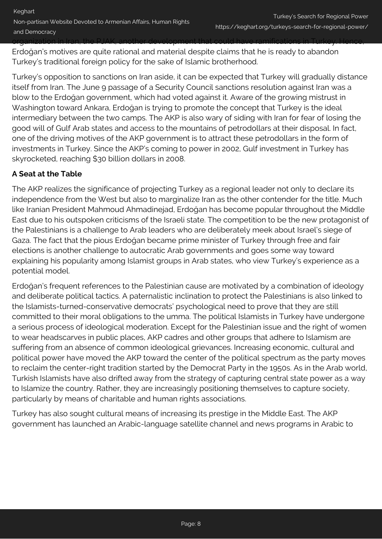Erdoğan's motives are quite rational and material despite claims that he is ready to abandon Turkey's traditional foreign policy for the sake of Islamic brotherhood.

Turkey's opposition to sanctions on Iran aside, it can be expected that Turkey will gradually distance itself from Iran. The June 9 passage of a Security Council sanctions resolution against Iran was a blow to the Erdoğan government, which had voted against it. Aware of the growing mistrust in Washington toward Ankara, Erdoğan is trying to promote the concept that Turkey is the ideal intermediary between the two camps. The AKP is also wary of siding with Iran for fear of losing the good will of Gulf Arab states and access to the mountains of petrodollars at their disposal. In fact, one of the driving motives of the AKP government is to attract these petrodollars in the form of investments in Turkey. Since the AKP's coming to power in 2002, Gulf investment in Turkey has skyrocketed, reaching \$30 billion dollars in 2008.

# **A Seat at the Table**

The AKP realizes the significance of projecting Turkey as a regional leader not only to declare its independence from the West but also to marginalize Iran as the other contender for the title. Much like Iranian President Mahmoud Ahmadinejad, Erdoğan has become popular throughout the Middle East due to his outspoken criticisms of the Israeli state. The competition to be the new protagonist of the Palestinians is a challenge to Arab leaders who are deliberately meek about Israel's siege of Gaza. The fact that the pious Erdoğan became prime minister of Turkey through free and fair elections is another challenge to autocratic Arab governments and goes some way toward explaining his popularity among Islamist groups in Arab states, who view Turkey's experience as a potential model.

Erdoğan's frequent references to the Palestinian cause are motivated by a combination of ideology and deliberate political tactics. A paternalistic inclination to protect the Palestinians is also linked to the Islamists-turned-conservative democrats' psychological need to prove that they are still committed to their moral obligations to the umma. The political Islamists in Turkey have undergone a serious process of ideological moderation. Except for the Palestinian issue and the right of women to wear headscarves in public places, AKP cadres and other groups that adhere to Islamism are suffering from an absence of common ideological grievances. Increasing economic, cultural and political power have moved the AKP toward the center of the political spectrum as the party moves to reclaim the center-right tradition started by the Democrat Party in the 1950s. As in the Arab world, Turkish Islamists have also drifted away from the strategy of capturing central state power as a way to Islamize the country. Rather, they are increasingly positioning themselves to capture society, particularly by means of charitable and human rights associations.

Turkey has also sought cultural means of increasing its prestige in the Middle East. The AKP government has launched an Arabic-language satellite channel and news programs in Arabic to